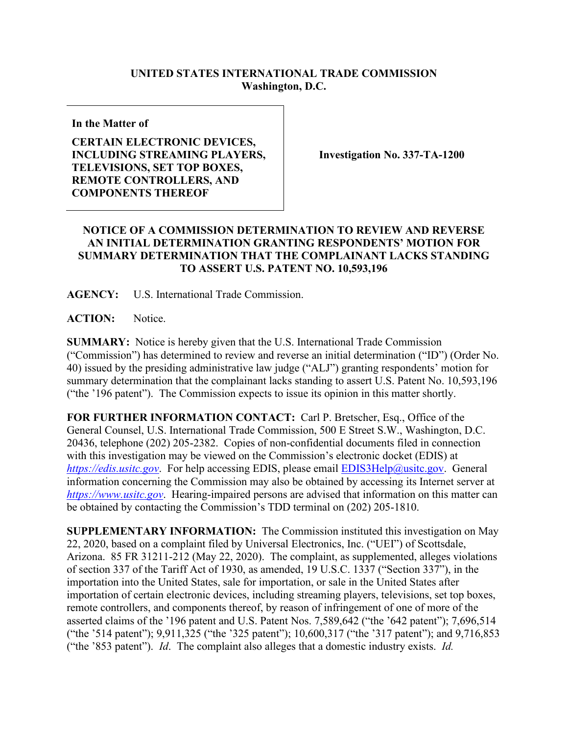## **UNITED STATES INTERNATIONAL TRADE COMMISSION Washington, D.C.**

**In the Matter of**

**CERTAIN ELECTRONIC DEVICES, INCLUDING STREAMING PLAYERS, TELEVISIONS, SET TOP BOXES, REMOTE CONTROLLERS, AND COMPONENTS THEREOF**

**Investigation No. 337-TA-1200**

## **NOTICE OF A COMMISSION DETERMINATION TO REVIEW AND REVERSE AN INITIAL DETERMINATION GRANTING RESPONDENTS' MOTION FOR SUMMARY DETERMINATION THAT THE COMPLAINANT LACKS STANDING TO ASSERT U.S. PATENT NO. 10,593,196**

**AGENCY:** U.S. International Trade Commission.

**ACTION:** Notice.

**SUMMARY:** Notice is hereby given that the U.S. International Trade Commission ("Commission") has determined to review and reverse an initial determination ("ID") (Order No. 40) issued by the presiding administrative law judge ("ALJ") granting respondents' motion for summary determination that the complainant lacks standing to assert U.S. Patent No. 10,593,196 ("the '196 patent"). The Commission expects to issue its opinion in this matter shortly.

**FOR FURTHER INFORMATION CONTACT:** Carl P. Bretscher, Esq., Office of the General Counsel, U.S. International Trade Commission, 500 E Street S.W., Washington, D.C. 20436, telephone (202) 205-2382. Copies of non-confidential documents filed in connection with this investigation may be viewed on the Commission's electronic docket (EDIS) at *[https://edis.usitc.gov](https://edis.usitc.gov/)*. For help accessing EDIS, please email [EDIS3Help@usitc.gov.](mailto:EDIS3Help@usitc.gov) General information concerning the Commission may also be obtained by accessing its Internet server at *[https://www.usitc.gov](https://www.usitc.gov/)*. Hearing-impaired persons are advised that information on this matter can be obtained by contacting the Commission's TDD terminal on (202) 205-1810.

**SUPPLEMENTARY INFORMATION:** The Commission instituted this investigation on May 22, 2020, based on a complaint filed by Universal Electronics, Inc. ("UEI") of Scottsdale, Arizona. 85 FR 31211-212 (May 22, 2020). The complaint, as supplemented, alleges violations of section 337 of the Tariff Act of 1930, as amended, 19 U.S.C. 1337 ("Section 337"), in the importation into the United States, sale for importation, or sale in the United States after importation of certain electronic devices, including streaming players, televisions, set top boxes, remote controllers, and components thereof, by reason of infringement of one of more of the asserted claims of the '196 patent and U.S. Patent Nos. 7,589,642 ("the '642 patent"); 7,696,514 ("the '514 patent"); 9,911,325 ("the '325 patent"); 10,600,317 ("the '317 patent"); and 9,716,853 ("the '853 patent"). *Id*. The complaint also alleges that a domestic industry exists. *Id.*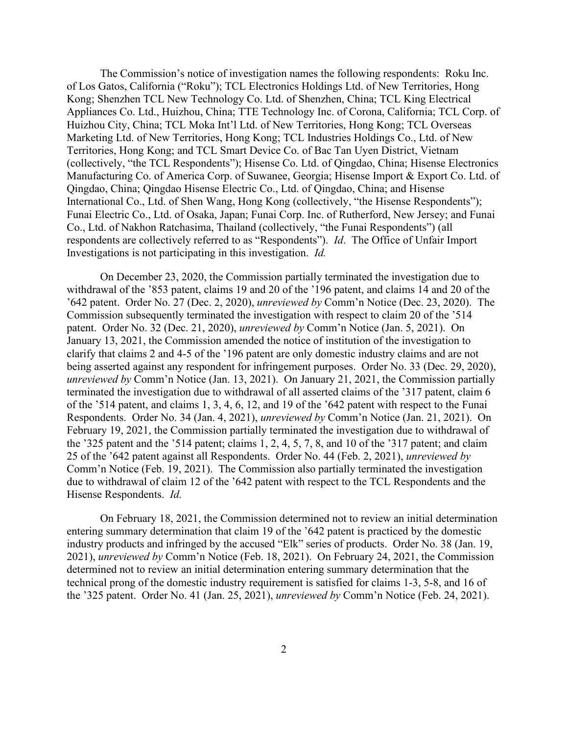The Commission's notice of investigation names the following respondents: Roku Inc. of Los Gatos, California ("Roku"); TCL Electronics Holdings Ltd. of New Territories, Hong Kong; Shenzhen TCL New Technology Co. Ltd. of Shenzhen, China; TCL King Electrical Appliances Co. Ltd., Huizhou, China; TTE Technology Inc. of Corona, California; TCL Corp. of Huizhou City, China; TCL Moka Int'l Ltd. of New Territories, Hong Kong; TCL Overseas Marketing Ltd. of New Territories, Hong Kong; TCL Industries Holdings Co., Ltd. of New Territories, Hong Kong; and TCL Smart Device Co. of Bac Tan Uyen District, Vietnam (collectively, "the TCL Respondents"); Hisense Co. Ltd. of Qingdao, China; Hisense Electronics Manufacturing Co. of America Corp. of Suwanee, Georgia; Hisense Import & Export Co. Ltd. of Qingdao, China; Qingdao Hisense Electric Co., Ltd. of Qingdao, China; and Hisense International Co., Ltd. of Shen Wang, Hong Kong (collectively, "the Hisense Respondents"); Funai Electric Co., Ltd. of Osaka, Japan; Funai Corp. Inc. of Rutherford, New Jersey; and Funai Co., Ltd. of Nakhon Ratchasima, Thailand (collectively, "the Funai Respondents") (all respondents are collectively referred to as "Respondents"). *Id*. The Office of Unfair Import Investigations is not participating in this investigation. *Id.*

On December 23, 2020, the Commission partially terminated the investigation due to withdrawal of the '853 patent, claims 19 and 20 of the '196 patent, and claims 14 and 20 of the '642 patent. Order No. 27 (Dec. 2, 2020), *unreviewed by* Comm'n Notice (Dec. 23, 2020). The Commission subsequently terminated the investigation with respect to claim 20 of the '514 patent. Order No. 32 (Dec. 21, 2020), *unreviewed by* Comm'n Notice (Jan. 5, 2021). On January 13, 2021, the Commission amended the notice of institution of the investigation to clarify that claims 2 and 4-5 of the '196 patent are only domestic industry claims and are not being asserted against any respondent for infringement purposes. Order No. 33 (Dec. 29, 2020), *unreviewed by* Comm'n Notice (Jan. 13, 2021). On January 21, 2021, the Commission partially terminated the investigation due to withdrawal of all asserted claims of the '317 patent, claim 6 of the '514 patent, and claims 1, 3, 4, 6, 12, and 19 of the '642 patent with respect to the Funai Respondents. Order No. 34 (Jan. 4, 2021), *unreviewed by* Comm'n Notice (Jan. 21, 2021). On February 19, 2021, the Commission partially terminated the investigation due to withdrawal of the '325 patent and the '514 patent; claims 1, 2, 4, 5, 7, 8, and 10 of the '317 patent; and claim 25 of the '642 patent against all Respondents. Order No. 44 (Feb. 2, 2021), *unreviewed by*  Comm'n Notice (Feb. 19, 2021). The Commission also partially terminated the investigation due to withdrawal of claim 12 of the '642 patent with respect to the TCL Respondents and the Hisense Respondents. *Id.*

On February 18, 2021, the Commission determined not to review an initial determination entering summary determination that claim 19 of the '642 patent is practiced by the domestic industry products and infringed by the accused "Elk" series of products. Order No. 38 (Jan. 19, 2021), *unreviewed by* Comm'n Notice (Feb. 18, 2021). On February 24, 2021, the Commission determined not to review an initial determination entering summary determination that the technical prong of the domestic industry requirement is satisfied for claims 1-3, 5-8, and 16 of the '325 patent. Order No. 41 (Jan. 25, 2021), *unreviewed by* Comm'n Notice (Feb. 24, 2021).